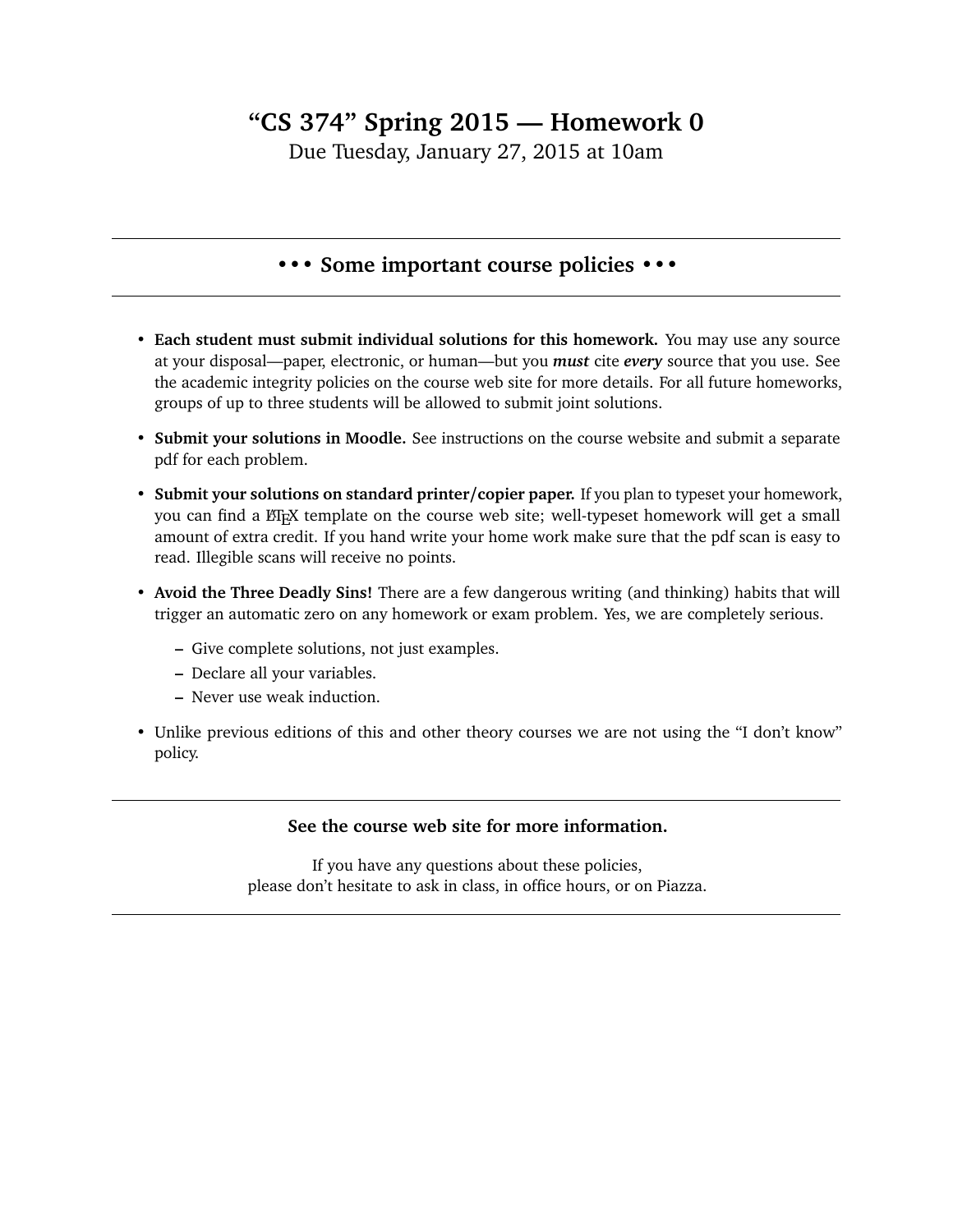## **"CS 374" Spring 2015 — Homework 0**

Due Tuesday, January 27, 2015 at 10am

## **••• Some important course policies •••**

- **Each student must submit individual solutions for this homework.** You may use any source at your disposal—paper, electronic, or human—but you *must* cite *every* source that you use. See the academic integrity policies on the course web site for more details. For all future homeworks, groups of up to three students will be allowed to submit joint solutions.
- **Submit your solutions in Moodle.** See instructions on the course website and submit a separate pdf for each problem.
- **Submit your solutions on standard printer/copier paper.** If you plan to typeset your homework, you can find a EIFX template on the course web site; well-typeset homework will get a small amount of extra credit. If you hand write your home work make sure that the pdf scan is easy to read. Illegible scans will receive no points.
- **Avoid the Three Deadly Sins!** There are a few dangerous writing (and thinking) habits that will trigger an automatic zero on any homework or exam problem. Yes, we are completely serious.
	- **–** Give complete solutions, not just examples.
	- **–** Declare all your variables.
	- **–** Never use weak induction.
- Unlike previous editions of this and other theory courses we are not using the "I don't know" policy.

## **See the course web site for more information.**

If you have any questions about these policies, please don't hesitate to ask in class, in office hours, or on Piazza.